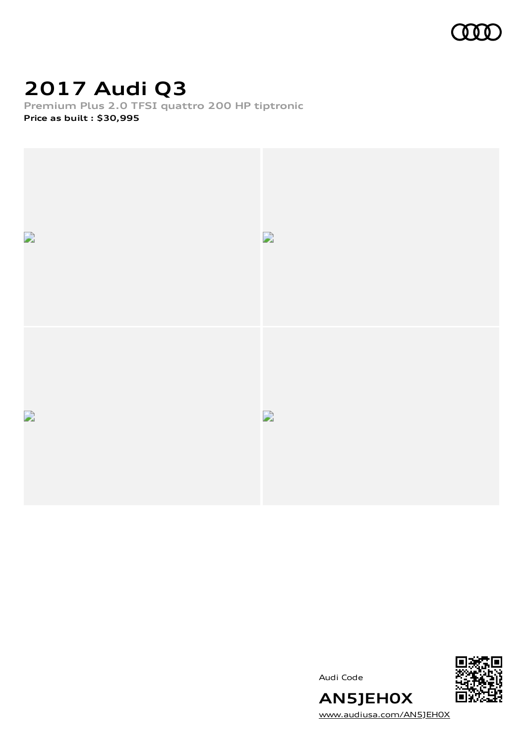

### **2017 Audi Q3**

**Premium Plus 2.0 TFSI quattro 200 HP tiptronic Price as built [:](#page-8-0) \$30,995**



Audi Code



[www.audiusa.com/AN5JEH0X](https://www.audiusa.com/AN5JEH0X)

**AN5JEH0X**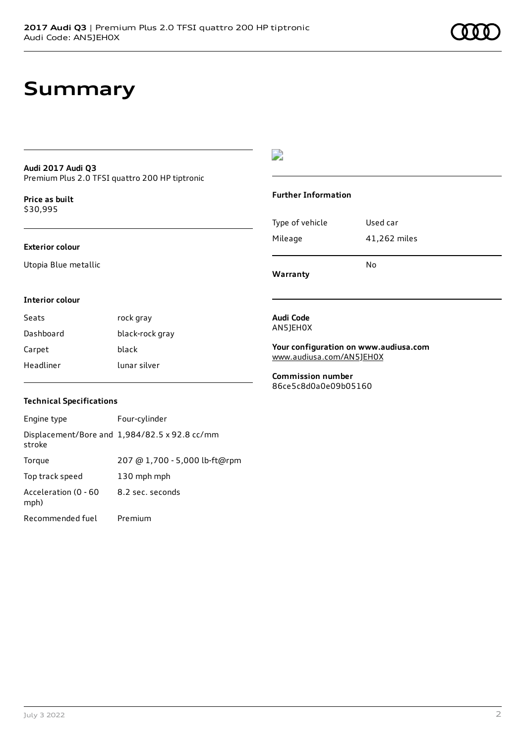### **Summary**

#### **Audi 2017 Audi Q3** Premium Plus 2.0 TFSI quattro 200 HP tiptronic

**Price as buil[t](#page-8-0)** \$30,995

#### **Exterior colour**

Utopia Blue metallic

#### $\overline{\phantom{a}}$

#### **Further Information**

|                 | No           |
|-----------------|--------------|
| Mileage         | 41,262 miles |
| Type of vehicle | Used car     |

**Warranty**

#### **Interior colour**

| Seats     | rock gray       |
|-----------|-----------------|
| Dashboard | black-rock gray |
| Carpet    | black           |
| Headliner | lunar silver    |

#### **Audi Code** AN5JEH0X

**Your configuration on www.audiusa.com** [www.audiusa.com/AN5JEH0X](https://www.audiusa.com/AN5JEH0X)

**Commission number** 86ce5c8d0a0e09b05160

#### **Technical Specifications**

| Engine type                  | Four-cylinder                                 |
|------------------------------|-----------------------------------------------|
| stroke                       | Displacement/Bore and 1,984/82.5 x 92.8 cc/mm |
| Torque                       | 207 @ 1,700 - 5,000 lb-ft@rpm                 |
| Top track speed              | 130 mph mph                                   |
| Acceleration (0 - 60<br>mph) | 8.2 sec. seconds                              |
| Recommended fuel             | Premium                                       |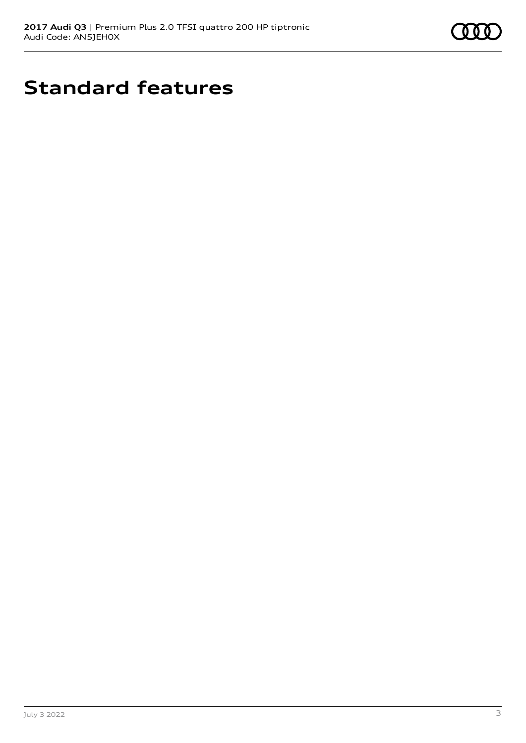

### **Standard features**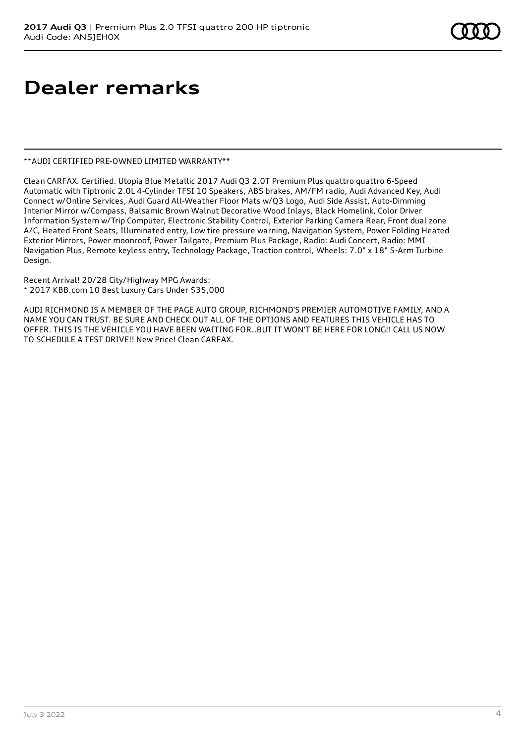### **Dealer remarks**

#### \*\*AUDI CERTIFIED PRE-OWNED LIMITED WARRANTY\*\*

Clean CARFAX. Certified. Utopia Blue Metallic 2017 Audi Q3 2.0T Premium Plus quattro quattro 6-Speed Automatic with Tiptronic 2.0L 4-Cylinder TFSI 10 Speakers, ABS brakes, AM/FM radio, Audi Advanced Key, Audi Connect w/Online Services, Audi Guard All-Weather Floor Mats w/Q3 Logo, Audi Side Assist, Auto-Dimming Interior Mirror w/Compass, Balsamic Brown Walnut Decorative Wood Inlays, Black Homelink, Color Driver Information System w/Trip Computer, Electronic Stability Control, Exterior Parking Camera Rear, Front dual zone A/C, Heated Front Seats, Illuminated entry, Low tire pressure warning, Navigation System, Power Folding Heated Exterior Mirrors, Power moonroof, Power Tailgate, Premium Plus Package, Radio: Audi Concert, Radio: MMI Navigation Plus, Remote keyless entry, Technology Package, Traction control, Wheels: 7.0" x 18" 5-Arm Turbine Design.

Recent Arrival! 20/28 City/Highway MPG Awards: \* 2017 KBB.com 10 Best Luxury Cars Under \$35,000

AUDI RICHMOND IS A MEMBER OF THE PAGE AUTO GROUP, RICHMOND'S PREMIER AUTOMOTIVE FAMILY, AND A NAME YOU CAN TRUST. BE SURE AND CHECK OUT ALL OF THE OPTIONS AND FEATURES THIS VEHICLE HAS TO OFFER. THIS IS THE VEHICLE YOU HAVE BEEN WAITING FOR..BUT IT WON'T BE HERE FOR LONG!! CALL US NOW TO SCHEDULE A TEST DRIVE!! New Price! Clean CARFAX.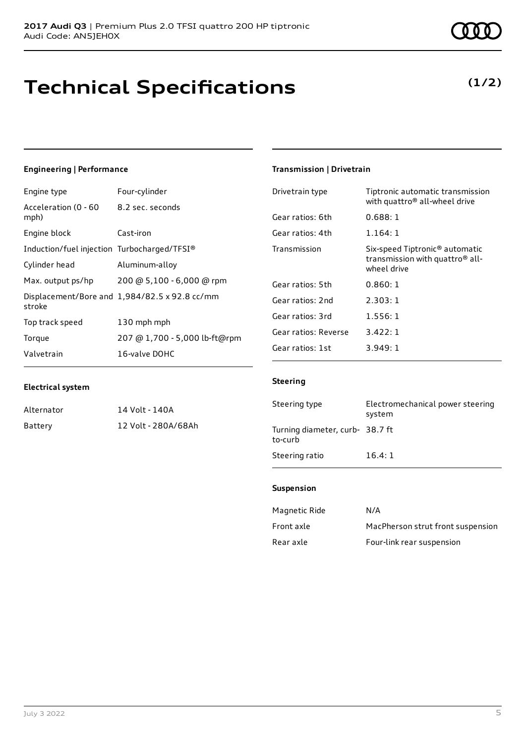# **Technical Specifications**

#### Induction/fuel injection Turbocharged/TFSI®

8.2 sec. seconds

| Cylinder head     | Aluminum-alloy                                |
|-------------------|-----------------------------------------------|
| Max. output ps/hp | 200 @ 5,100 - 6,000 @ rpm                     |
| stroke            | Displacement/Bore and 1,984/82.5 x 92.8 cc/mm |
| Top track speed   | 130 mph mph                                   |
| Torque            | 207 @ 1,700 - 5,000 lb-ft@rpm                 |
| Valvetrain        | 16-valve DOHC                                 |

### **Electrical system**

**Engineering | Performance**

Acceleration (0 - 60

mph)

Engine type Four-cylinder

Engine block Cast-iron

| Alternator | 14 Volt - 140A      |
|------------|---------------------|
| Battery    | 12 Volt - 280A/68Ah |

#### **Transmission | Drivetrain**

| Drivetrain type      | Tiptronic automatic transmission<br>with quattro <sup>®</sup> all-wheel drive                            |
|----------------------|----------------------------------------------------------------------------------------------------------|
| Gear ratios: 6th     | 0.688:1                                                                                                  |
| Gear ratios: 4th     | 1.164: 1                                                                                                 |
| Transmission         | Six-speed Tiptronic <sup>®</sup> automatic<br>transmission with quattro <sup>®</sup> all-<br>wheel drive |
| Gear ratios: 5th     | 0.860:1                                                                                                  |
| Gear ratios: 2nd     | 2.303:1                                                                                                  |
| Gear ratios: 3rd     | 1.556:1                                                                                                  |
| Gear ratios: Reverse | 3.422:1                                                                                                  |
| Gear ratios: 1st     | 3.949:1                                                                                                  |

#### **Steering**

| Steering type                              | Electromechanical power steering<br>system |
|--------------------------------------------|--------------------------------------------|
| Turning diameter, curb- 38.7 ft<br>to-curb |                                            |
| Steering ratio                             | 16.4:1                                     |

#### **Suspension**

| Magnetic Ride | N/A                               |
|---------------|-----------------------------------|
| Front axle    | MacPherson strut front suspension |
| Rear axle     | Four-link rear suspension         |

### **(1/2)**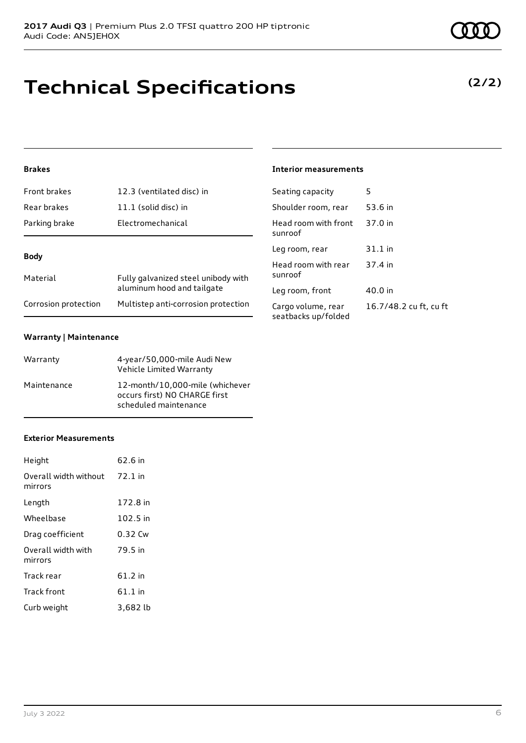### **Technical Specifications**

**2017 Audi Q3** | Premium Plus 2.0 TFSI quattro 200 HP tiptronic

#### July 3 2022 6

#### **Brakes**

| Front brakes         | 12.3 (ventilated disc) in                                         |
|----------------------|-------------------------------------------------------------------|
| Rear brakes          | 11.1 (solid disc) in                                              |
| Parking brake        | Electromechanical                                                 |
|                      |                                                                   |
| <b>Body</b>          |                                                                   |
| Material             | Fully galvanized steel unibody with<br>aluminum hood and tailgate |
| Corrosion protection | Multistep anti-corrosion protection                               |

#### **Warranty | Maintenance**

| Warranty    | 4-year/50,000-mile Audi New<br>Vehicle Limited Warranty                                   |
|-------------|-------------------------------------------------------------------------------------------|
| Maintenance | 12-month/10,000-mile (whichever<br>occurs first) NO CHARGE first<br>scheduled maintenance |

#### **Exterior Measurements**

| Height                           | $62.6$ in |
|----------------------------------|-----------|
| Overall width without<br>mirrors | 72.1 in   |
| Length                           | 172.8 in  |
| Wheelbase                        | 102.5 in  |
| Drag coefficient                 | 0.32 Cw   |
| Overall width with<br>mirrors    | 79.5 in   |
| Track rear                       | 61.2 in   |
| <b>Track front</b>               | $61.1$ in |
| Curb weight                      | 3,682 lb  |

#### **Interior measurements**

| Seating capacity                          | 5                      |
|-------------------------------------------|------------------------|
| Shoulder room, rear                       | 53.6 in                |
| Head room with front<br>sunroof           | 37.0 in                |
| Leg room, rear                            | 31.1 in                |
| Head room with rear<br>sunroof            | 37.4 in                |
| Leg room, front                           | 40.0 in                |
| Cargo volume, rear<br>seatbacks up/folded | 16.7/48.2 cu ft, cu ft |

### **(2/2)**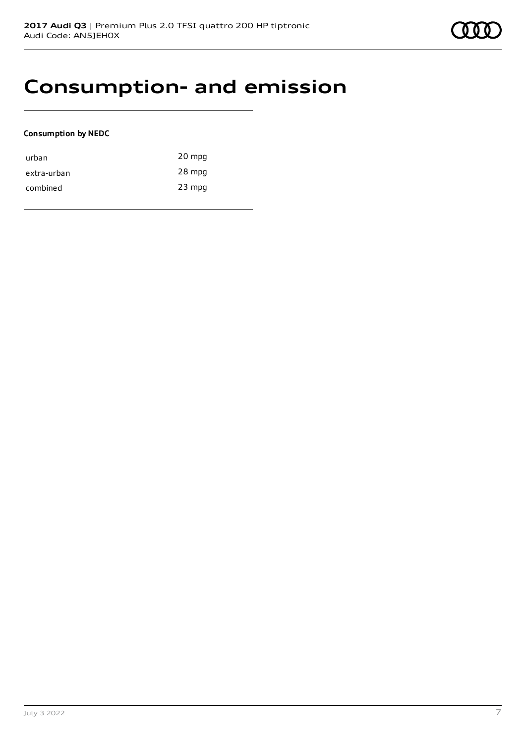### **Consumption- and emission**

#### **Consumption by NEDC**

| urban       | 20 mpg   |
|-------------|----------|
| extra-urban | 28 mpg   |
| combined    | $23$ mpg |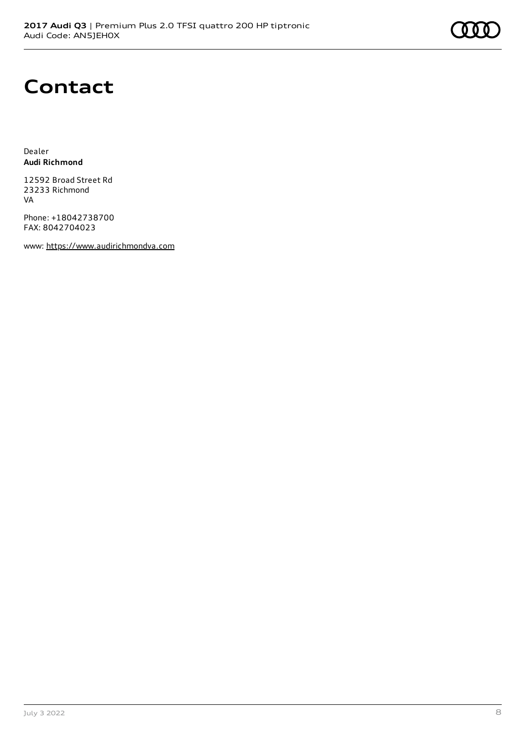# **Contact**

Dealer **Audi Richmond**

12592 Broad Street Rd 23233 Richmond VA

Phone: +18042738700 FAX: 8042704023

www: [https://www.audirichmondva.com](https://www.audirichmondva.com/)